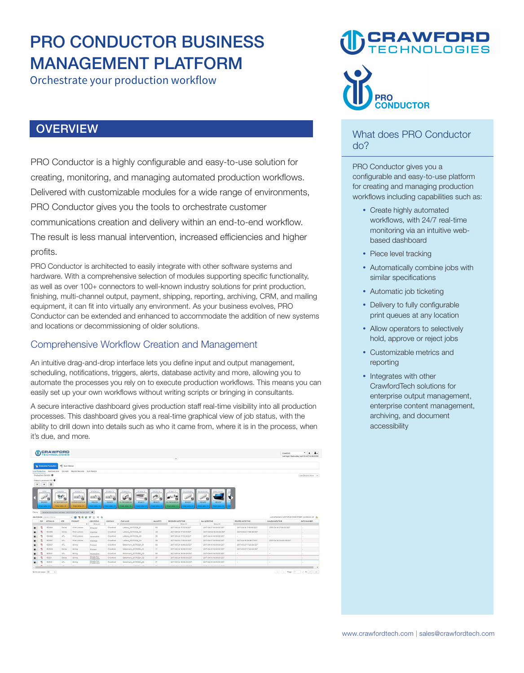### **PRO CONDUCTOR BUSINESS MANAGEMENT PLATFORM**

**Orchestrate your production workflow** 

#### **OVERVIEW**

**PRO Conductor is a highly configurable and easy-to-use solution for creating, monitoring, and managing automated production workflows. Delivered with customizable modules for a wide range of environments, PRO Conductor gives you the tools to orchestrate customer communications creation and delivery within an end-to-end workflow. The result is less manual intervention, increased efficiencies and higher profits.** 

**PRO Conductor is architected to easily integrate with other software systems and hardware. With a comprehensive selection of modules supporting specific functionality, as well as over 100+ connectors to well-known industry solutions for print production, finishing, multi-channel output, payment, shipping, reporting, archiving, CRM, and mailing equipment, it can fit into virtually any environment. As your business evolves, PRO Conductor can be extended and enhanced to accommodate the addition of new systems and locations or decommissioning of older solutions.** 

#### **Comprehensive Workflow Creation and Management**

**An intuitive drag-and-drop interface lets you define input and output management, scheduling, notifications, triggers, alerts, database activity and more, allowing you to automate the processes you rely on to execute production workflows. This means you can easily set up your own workflows without writing scripts or bringing in consultants.** 

**A secure interactive dashboard gives production staff real-time visibility into all production processes. This dashboard gives you a real-time graphical view of job status, with the ability to drill down into details such as who it came from, where it is in the process, when it's due, and more.** 

|                     |                                   |                     |                                                                                 |                                                       |                    |                                  |                     |                                   |                                       |                          |                                                                | Last look: Wednesday, April 19 2017 04:56:23 PM |
|---------------------|-----------------------------------|---------------------|---------------------------------------------------------------------------------|-------------------------------------------------------|--------------------|----------------------------------|---------------------|-----------------------------------|---------------------------------------|--------------------------|----------------------------------------------------------------|-------------------------------------------------|
|                     |                                   |                     |                                                                                 |                                                       |                    |                                  |                     | $\overline{a}$                    |                                       |                          |                                                                |                                                 |
|                     |                                   | C Scan Station      |                                                                                 |                                                       |                    |                                  |                     |                                   |                                       |                          |                                                                |                                                 |
|                     | <b>G Enterprise Production</b>    |                     |                                                                                 |                                                       |                    |                                  |                     |                                   |                                       |                          |                                                                |                                                 |
|                     | Live Production Batched Jobs      | On Hold             | Reprint Records SLA Monitor                                                     |                                                       |                    |                                  |                     |                                   |                                       |                          |                                                                |                                                 |
|                     | Production Monitor O              |                     |                                                                                 |                                                       |                    |                                  |                     |                                   |                                       |                          |                                                                | Job Details View V                              |
|                     | Output Locations (16)             |                     |                                                                                 |                                                       |                    |                                  |                     |                                   |                                       |                          |                                                                |                                                 |
| $\alpha$            | 曲<br>$+$                          |                     |                                                                                 |                                                       |                    |                                  |                     |                                   |                                       |                          |                                                                |                                                 |
|                     | DIIO.                             | insertor            | Printer I                                                                       | Printer 2                                             | Printer 3          | Printer 4<br>Printer 5           | Printer 6           | Pro C7110X<br>Printer 7           | WorkContor<br>PRO Transf              |                          |                                                                |                                                 |
|                     |                                   |                     |                                                                                 |                                                       |                    | =                                |                     |                                   |                                       |                          |                                                                |                                                 |
|                     | $\mathbb{R}^{2\times 1}$<br>a     | <b>Seattle</b><br>ø | 三輪                                                                              | - 2                                                   | ≡sh <sub>e</sub>   | W)<br>6<br>и                     | v<br>a              | 43.00<br>Rm.<br>$\overline{a}$    | $10^{334}$<br>ø                       |                          |                                                                |                                                 |
|                     |                                   |                     |                                                                                 |                                                       |                    |                                  |                     |                                   |                                       |                          |                                                                |                                                 |
|                     | READY                             | <b>INTERVENTION</b> | <b>INTERVENTION</b>                                                             | READY                                                 | <b>READY</b>       | IN PROGRESS<br>READY             | <b>READY</b>        | IN PROGRESS<br>READY              | READY<br>READY                        |                          |                                                                |                                                 |
|                     | Total Jobs - C                    | Total Jobs - O      | Total Jobs - O.<br>'received Date/Sime' between '03/21/2017' and '04/20/2017' X | Total John + O.<br>٠                                  | Total Jobs - O     | Total Jobs - O<br>Total Jobs - O | Total Jobs + 2<br>٠ | Total Jobs - O<br>Total Jobs - O. | Total Jobs - O<br>Total Jobs - O<br>٠ | Tot.                     |                                                                |                                                 |
|                     | <b>Job Details Lindato Status</b> |                     |                                                                                 | $V$ <b>B E</b> $B$ <b>E</b> $B$ <b>E</b> $H$ <b>W</b> |                    |                                  |                     |                                   |                                       |                          | Last retrethed on 2017-04-20 10:59 AM EST, Job Details: 23 (N) |                                                 |
|                     | PDF OPTION ID                     | SITE.               | PRODUCT                                                                         | JOB STATUS<br>٠<br>Show At                            | COMPANY<br>$\cdot$ | FILE NAME                        | <b>QUANTITY</b>     | RECEIVED DATE/TIME<br>Show At     | SLA DATE/TIME<br>Show All             | <b>PRINTED DATE/TIME</b> | MAILED DATE/TIME                                               |                                                 |
| ÷.                  | 150494                            | Dallas              | Print Letters                                                                   | Shipped                                               | Crawford           | Letters 20170324 01              | 50                  | 2017-03-24 17:33:18 EST           | 2017-04-17 16:00:00 EST               | 2017-04-18 17:55:50 EST  | 2017-04-18 17:56:00 EST                                        | ٠                                               |
|                     | 150495                            | Dallas              | Print Letters                                                                   | Inserted                                              | Crawford           | Letters_20170324_02              | 40                  | 2017-03-24 17:33:19 EST           | 2017-04-20 16:00:00 EST               | 2017-03-24 17:56:56 EST  | $\sim$                                                         |                                                 |
| ÷                   | 150495                            | ATL.                | Print Lottons                                                                   | Accossible                                            | Crawford           | Letters 20170324 03              | 35                  | 2017-03-24 17:33 to CST           | 2017-04-18 16:00:00 EST               | $\sim$                   | $\sim$                                                         |                                                 |
| ÷                   | 150497                            | ATL                 | Print Lottons                                                                   | Inserted                                              | Crawford           | Letters 20170324 04              | 29                  | 2017-04-18 17:33:20 EST           | 2017-04-17 16:00:00 EST               | 2017-04-19 09:58:17 EST  | 2017-04-18 00:00:00 EST                                        |                                                 |
| ÷                   | 150507                            | ATL                 | <b>Billing</b>                                                                  | Printed                                               | Crawford           | Statement 20170324 01            | 50                  | 2017-03-24 18:06:02 EST           | 2017-04-19 16:00:00 EST               | 2017-03-27 17:20:28 EST  | $\lambda$                                                      |                                                 |
|                     | 150509                            | <b>Dallas</b>       | Billing                                                                         | Printed                                               | Crawford           | Statement_20170324_01            | 17.                 | 2017-03-24 18:06:05 EST           | 2017-04-19 16:00:00 EST               | 2017-03-27 17:20:29 EST  |                                                                |                                                 |
| ÷,                  | 150510                            | ATL.                | Billing                                                                         | Accossible                                            | Crawford           | Statement_20170324_02            | 50                  | 2017-03-24 18:06:06 EST           | 2017-04-19 16:00:00 EST               | $\sim$                   | $\sim$                                                         |                                                 |
| z                   | 150511                            | Dallas,             | <b>Gillion</b>                                                                  | Ready For                                             | Crawford           | Statement_20170324_02            | 37                  | 2017-03-24 10:06:06 EST           | 2017-04-19 16:00:00 EST               | ÷                        | ×                                                              |                                                 |
| Filters:<br>œ۷<br>ъ | 150512                            | ATL                 | <b>Billing</b>                                                                  | Production<br>Ready For<br>Production                 | Crawford           | Statement. 20170324.02           | 17                  | 2017-03-24 18:06:06 EST           | 2017-04-19 16:00:00 EST               |                          |                                                                | <b>BATCHNUMBER</b>                              |

## **CRAWFORI**<br>TECHNOLOGIE



#### **What does PRO Conductor do?**

**PRO Conductor gives you a configurable and easy-to-use platform for creating and managing production workflows including capabilities such as:** 

- **Create highly automated workflows, with 24/7 real-time monitoring via an intuitive webbased dashboard**
- **Piece level tracking**
- **Automatically combine jobs with similar specifications**
- **Automatic job ticketing**
- **Delivery to fully configurable print queues at any location**
- **Allow operators to selectively hold, approve or reject jobs**
- **Customizable metrics and reporting**
- **Integrates with other CrawfordTech solutions for enterprise output management, enterprise content management, archiving, and document accessibility**